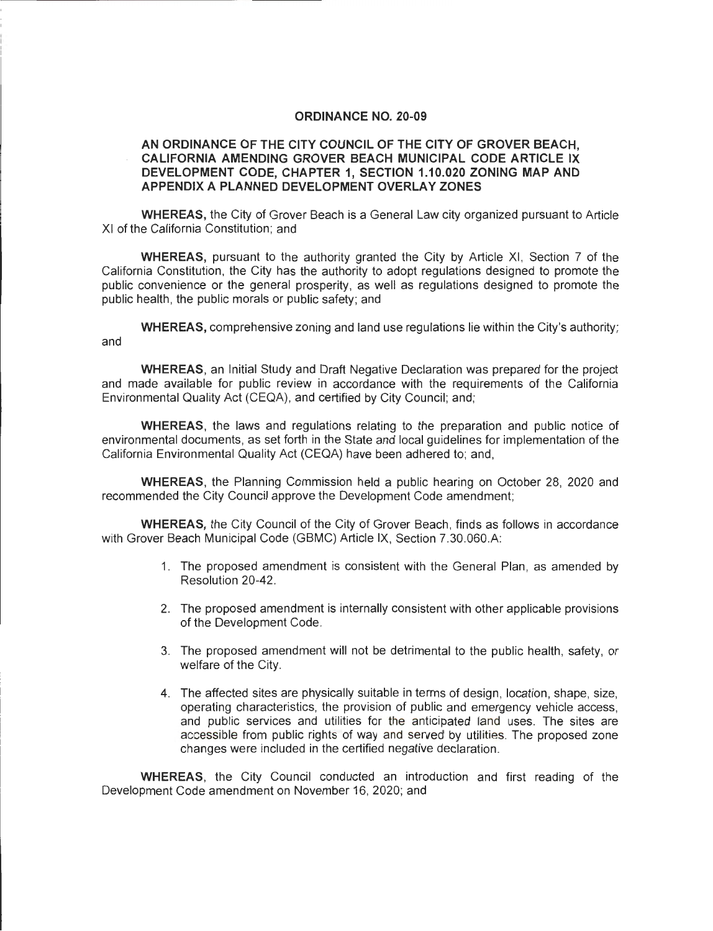## **ORDINANCE NO. 20-09**

## AN ORDINANCE OF THE CITY COUNCIL OF THE CITY OF GROVER BEACH. **CALIFORNIA AMENDING GROVER BEACH MUNICIPAL CODE ARTICLE IX DEVELOPMENT CODE, CHAPTER 1, SECTION 1.10.020 ZONING MAP AND APPENDIX A PLANNED DEVELOPMENT OVERLAY ZONES**

**WHEREAS,** the City of Grover Beach is a General Law city organized pursuant to Article XI of the California Constitution; and

**WHEREAS,** pursuant to the authority granted the City by Article XI, Section 7 of the California Constitution, the City has the authority to adopt regulations designed to promote the public convenience or the general prosperity, as well as regulations designed to promote the public health, the public morals or public safety; and

**WHEREAS,** comprehensive zoning and land use regulations lie within the City's authority; and

**WHEREAS,** an Initial Study and Draft Negative Declaration was prepared for the project and made available for public review in accordance with the requirements of the California Environmental Quality Act (CEQA), and certified by City Council; and;

**WHEREAS,** the laws and regulations relating to the preparation and public notice of environmental documents, as set forth in the State and local guidelines for implementation of the California Environmental Quality Act (CEQA) have been adhered to; and,

**WHEREAS,** the Planning Commission held a public hearing on October 28, 2020 and recommended the City Council approve the Development Code amendment;

WHEREAS, the City Council of the City of Grover Beach, finds as follows in accordance with Grover Beach Municipal Code (GBMC) Article IX, Section 7.30.060.A:

- 1. The proposed amendment is consistent with the General Plan, as amended by Resolution 20-42.
- 2. The proposed amendment is internally consistent with other applicable provisions of the Development Code.
- 3. The proposed amendment will not be detrimental to the public health, safety, or welfare of the City.
- 4. The affected sites are physically suitable in terms of design, location, shape, size, operating characteristics, the provision of public and emergency vehicle access, and public services and utilities for the anticipated land uses. The sites are accessible from public rights of way and served by utilities. The proposed zone changes were included in the certified negative declaration.

**WHEREAS,** the City Council conducted an introduction and first reading of the Development Code amendment on November 16, 2020; and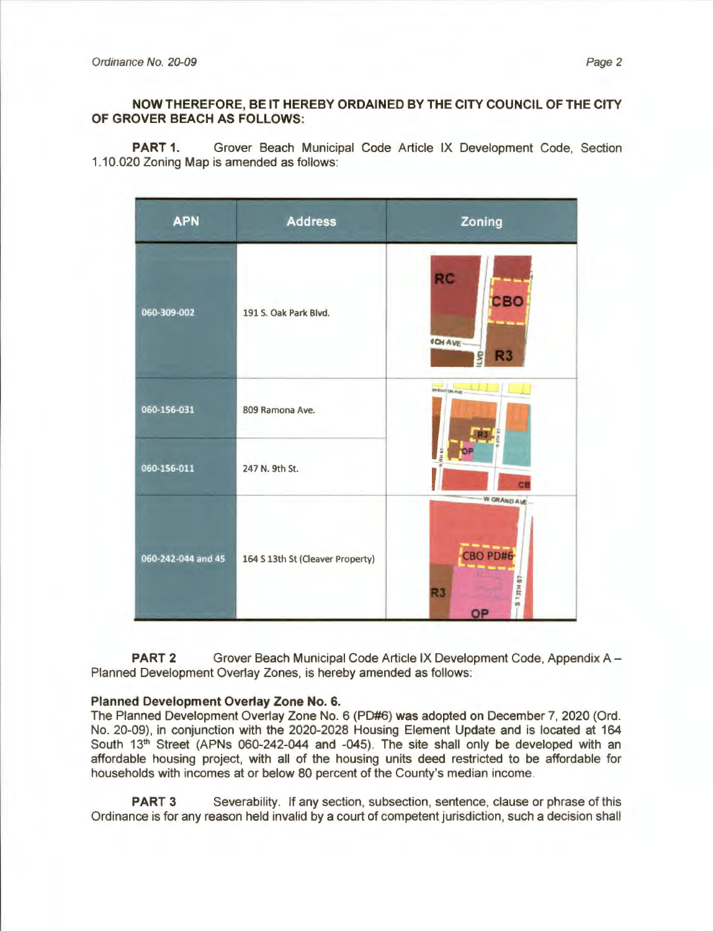## **NOW THEREFORE, BE IT HEREBY ORDAINED BY THE CITY COUNCIL OF THE CITY OF GROVER BEACH AS FOLLOWS:**

**PART 1.** Grover Beach Municipal Code Article IX Development Code, Section 1.10. 020 Zoning Map is amended as follows:

| <b>APN</b>         | <b>Address</b>                   | Zoning                                                     |
|--------------------|----------------------------------|------------------------------------------------------------|
| 060-309-002        | 191 S. Oak Park Blvd.            | <b>RC</b><br>CBO<br><b>ICH AVE-</b><br><b>R3</b><br>Lyp    |
| 060-156-031        | 809 Ramona Ave.                  | <b>DEEMTON AVE</b>                                         |
| 060-156-011        | 247 N. 9th St.                   | TH NT                                                      |
| 060-242-044 and 45 | 164 S 13th St (Cleaver Property) | W GRAND AVE-<br>CBO PD#6<br><b>TEHE!</b><br>R3<br>in<br>OP |

**PART 2** Grover Beach Municipal Code Article IX Development Code, Appendix A -Planned Development Overlay Zones, is hereby amended as follows:

## **Planned Development Overlay Zone No. 6.**

The Planned Development Overlay Zone No. 6 (PD#6) was adopted on December 7, 2020 (Ord. No. 20-09), in conjunction with the 2020-2028 Housing Element Update and is located at 164 South  $13<sup>th</sup>$  Street (APNs 060-242-044 and -045). The site shall only be developed with an affordable housing project, with all of the housing units deed restricted to be affordable for households with incomes at or below 80 percent of the County's median income.

**PART 3** Severability. If any section, subsection, sentence, clause or phrase of this Ordinance is for any reason held invalid by a court of competent jurisdiction, such a decision shall